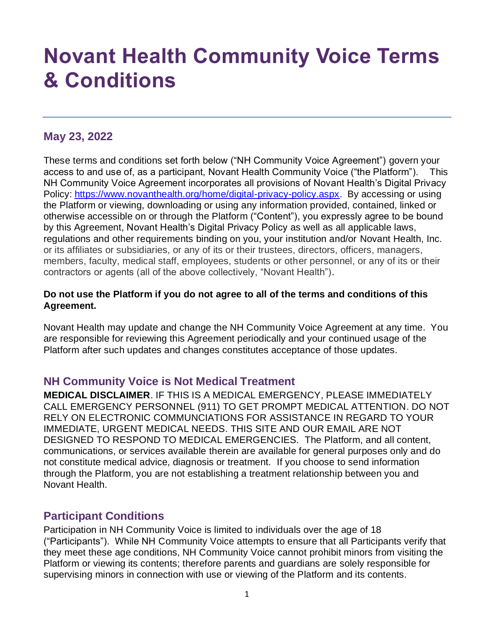# **Novant Health Community Voice Terms & Conditions**

# **May 23, 2022**

These terms and conditions set forth below ("NH Community Voice Agreement") govern your access to and use of, as a participant, Novant Health Community Voice ("the Platform"). This NH Community Voice Agreement incorporates all provisions of Novant Health's Digital Privacy Policy: [https://www.novanthealth.org/home/digital-privacy-policy.aspx.](https://www.novanthealth.org/home/digital-privacy-policy.aspx) By accessing or using the Platform or viewing, downloading or using any information provided, contained, linked or otherwise accessible on or through the Platform ("Content"), you expressly agree to be bound by this Agreement, Novant Health's Digital Privacy Policy as well as all applicable laws, regulations and other requirements binding on you, your institution and/or Novant Health, Inc. or its affiliates or subsidiaries, or any of its or their trustees, directors, officers, managers, members, faculty, medical staff, employees, students or other personnel, or any of its or their contractors or agents (all of the above collectively, "Novant Health").

#### **Do not use the Platform if you do not agree to all of the terms and conditions of this Agreement.**

Novant Health may update and change the NH Community Voice Agreement at any time. You are responsible for reviewing this Agreement periodically and your continued usage of the Platform after such updates and changes constitutes acceptance of those updates.

#### **NH Community Voice is Not Medical Treatment**

**MEDICAL DISCLAIMER**. IF THIS IS A MEDICAL EMERGENCY, PLEASE IMMEDIATELY CALL EMERGENCY PERSONNEL (911) TO GET PROMPT MEDICAL ATTENTION. DO NOT RELY ON ELECTRONIC COMMUNCIATIONS FOR ASSISTANCE IN REGARD TO YOUR IMMEDIATE, URGENT MEDICAL NEEDS. THIS SITE AND OUR EMAIL ARE NOT DESIGNED TO RESPOND TO MEDICAL EMERGENCIES. The Platform, and all content, communications, or services available therein are available for general purposes only and do not constitute medical advice, diagnosis or treatment. If you choose to send information through the Platform, you are not establishing a treatment relationship between you and Novant Health.

## **Participant Conditions**

Participation in NH Community Voice is limited to individuals over the age of 18 ("Participants"). While NH Community Voice attempts to ensure that all Participants verify that they meet these age conditions, NH Community Voice cannot prohibit minors from visiting the Platform or viewing its contents; therefore parents and guardians are solely responsible for supervising minors in connection with use or viewing of the Platform and its contents.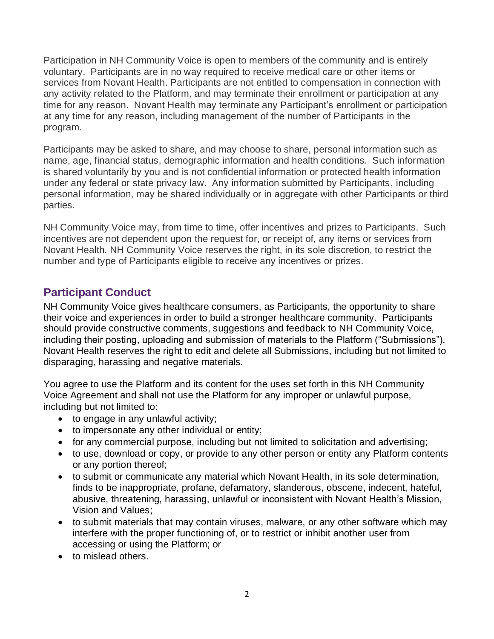Participation in NH Community Voice is open to members of the community and is entirely voluntary. Participants are in no way required to receive medical care or other items or services from Novant Health. Participants are not entitled to compensation in connection with any activity related to the Platform, and may terminate their enrollment or participation at any time for any reason. Novant Health may terminate any Participant's enrollment or participation at any time for any reason, including management of the number of Participants in the program.

Participants may be asked to share, and may choose to share, personal information such as name, age, financial status, demographic information and health conditions. Such information is shared voluntarily by you and is not confidential information or protected health information under any federal or state privacy law. Any information submitted by Participants, including personal information, may be shared individually or in aggregate with other Participants or third parties.

NH Community Voice may, from time to time, offer incentives and prizes to Participants. Such incentives are not dependent upon the request for, or receipt of, any items or services from Novant Health. NH Community Voice reserves the right, in its sole discretion, to restrict the number and type of Participants eligible to receive any incentives or prizes.

## **Participant Conduct**

NH Community Voice gives healthcare consumers, as Participants, the opportunity to share their voice and experiences in order to build a stronger healthcare community. Participants should provide constructive comments, suggestions and feedback to NH Community Voice, including their posting, uploading and submission of materials to the Platform ("Submissions"). Novant Health reserves the right to edit and delete all Submissions, including but not limited to disparaging, harassing and negative materials.

You agree to use the Platform and its content for the uses set forth in this NH Community Voice Agreement and shall not use the Platform for any improper or unlawful purpose, including but not limited to:

- to engage in any unlawful activity;
- to impersonate any other individual or entity;
- for any commercial purpose, including but not limited to solicitation and advertising;
- to use, download or copy, or provide to any other person or entity any Platform contents or any portion thereof;
- to submit or communicate any material which Novant Health, in its sole determination, finds to be inappropriate, profane, defamatory, slanderous, obscene, indecent, hateful, abusive, threatening, harassing, unlawful or inconsistent with Novant Health's Mission, Vision and Values;
- to submit materials that may contain viruses, malware, or any other software which may interfere with the proper functioning of, or to restrict or inhibit another user from accessing or using the Platform; or
- to mislead others.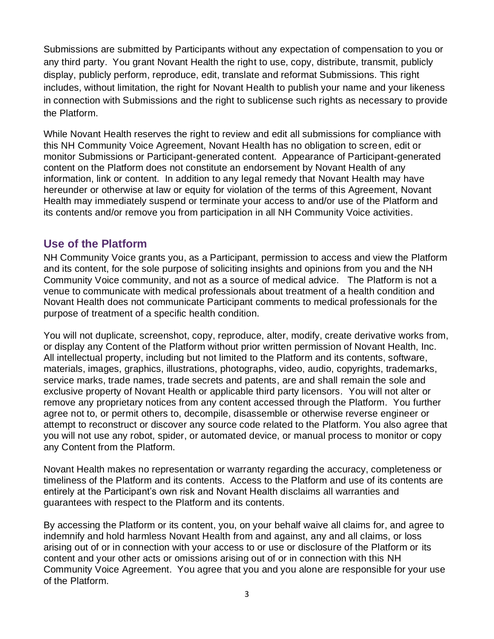Submissions are submitted by Participants without any expectation of compensation to you or any third party. You grant Novant Health the right to use, copy, distribute, transmit, publicly display, publicly perform, reproduce, edit, translate and reformat Submissions. This right includes, without limitation, the right for Novant Health to publish your name and your likeness in connection with Submissions and the right to sublicense such rights as necessary to provide the Platform.

While Novant Health reserves the right to review and edit all submissions for compliance with this NH Community Voice Agreement, Novant Health has no obligation to screen, edit or monitor Submissions or Participant-generated content. Appearance of Participant-generated content on the Platform does not constitute an endorsement by Novant Health of any information, link or content. In addition to any legal remedy that Novant Health may have hereunder or otherwise at law or equity for violation of the terms of this Agreement, Novant Health may immediately suspend or terminate your access to and/or use of the Platform and its contents and/or remove you from participation in all NH Community Voice activities.

### **Use of the Platform**

NH Community Voice grants you, as a Participant, permission to access and view the Platform and its content, for the sole purpose of soliciting insights and opinions from you and the NH Community Voice community, and not as a source of medical advice. The Platform is not a venue to communicate with medical professionals about treatment of a health condition and Novant Health does not communicate Participant comments to medical professionals for the purpose of treatment of a specific health condition.

You will not duplicate, screenshot, copy, reproduce, alter, modify, create derivative works from, or display any Content of the Platform without prior written permission of Novant Health, Inc. All intellectual property, including but not limited to the Platform and its contents, software, materials, images, graphics, illustrations, photographs, video, audio, copyrights, trademarks, service marks, trade names, trade secrets and patents, are and shall remain the sole and exclusive property of Novant Health or applicable third party licensors. You will not alter or remove any proprietary notices from any content accessed through the Platform. You further agree not to, or permit others to, decompile, disassemble or otherwise reverse engineer or attempt to reconstruct or discover any source code related to the Platform. You also agree that you will not use any robot, spider, or automated device, or manual process to monitor or copy any Content from the Platform.

Novant Health makes no representation or warranty regarding the accuracy, completeness or timeliness of the Platform and its contents. Access to the Platform and use of its contents are entirely at the Participant's own risk and Novant Health disclaims all warranties and guarantees with respect to the Platform and its contents.

By accessing the Platform or its content, you, on your behalf waive all claims for, and agree to indemnify and hold harmless Novant Health from and against, any and all claims, or loss arising out of or in connection with your access to or use or disclosure of the Platform or its content and your other acts or omissions arising out of or in connection with this NH Community Voice Agreement. You agree that you and you alone are responsible for your use of the Platform.